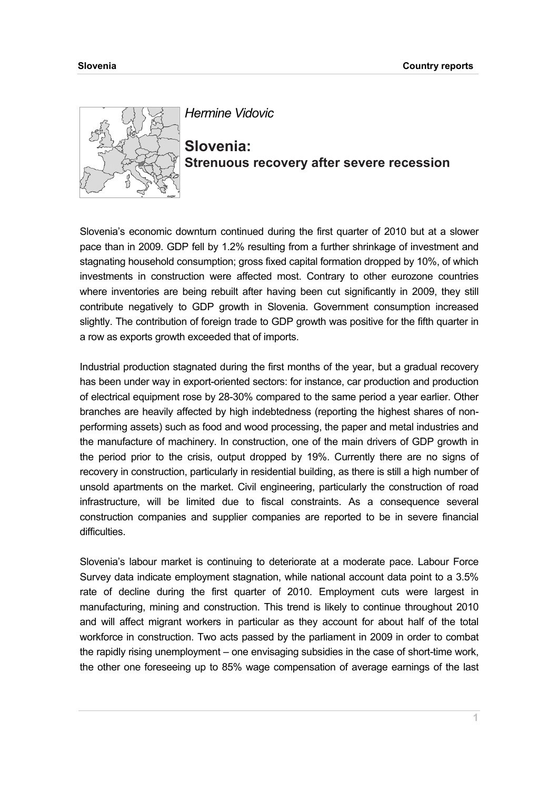

*Hermine Vidovic* 

**Slovenia: Strenuous recovery after severe recession** 

Slovenia's economic downturn continued during the first quarter of 2010 but at a slower pace than in 2009. GDP fell by 1.2% resulting from a further shrinkage of investment and stagnating household consumption; gross fixed capital formation dropped by 10%, of which investments in construction were affected most. Contrary to other eurozone countries where inventories are being rebuilt after having been cut significantly in 2009, they still contribute negatively to GDP growth in Slovenia. Government consumption increased slightly. The contribution of foreign trade to GDP growth was positive for the fifth quarter in a row as exports growth exceeded that of imports.

Industrial production stagnated during the first months of the year, but a gradual recovery has been under way in export-oriented sectors: for instance, car production and production of electrical equipment rose by 28-30% compared to the same period a year earlier. Other branches are heavily affected by high indebtedness (reporting the highest shares of nonperforming assets) such as food and wood processing, the paper and metal industries and the manufacture of machinery. In construction, one of the main drivers of GDP growth in the period prior to the crisis, output dropped by 19%. Currently there are no signs of recovery in construction, particularly in residential building, as there is still a high number of unsold apartments on the market. Civil engineering, particularly the construction of road infrastructure, will be limited due to fiscal constraints. As a consequence several construction companies and supplier companies are reported to be in severe financial difficulties.

Slovenia's labour market is continuing to deteriorate at a moderate pace. Labour Force Survey data indicate employment stagnation, while national account data point to a 3.5% rate of decline during the first quarter of 2010. Employment cuts were largest in manufacturing, mining and construction. This trend is likely to continue throughout 2010 and will affect migrant workers in particular as they account for about half of the total workforce in construction. Two acts passed by the parliament in 2009 in order to combat the rapidly rising unemployment – one envisaging subsidies in the case of short-time work, the other one foreseeing up to 85% wage compensation of average earnings of the last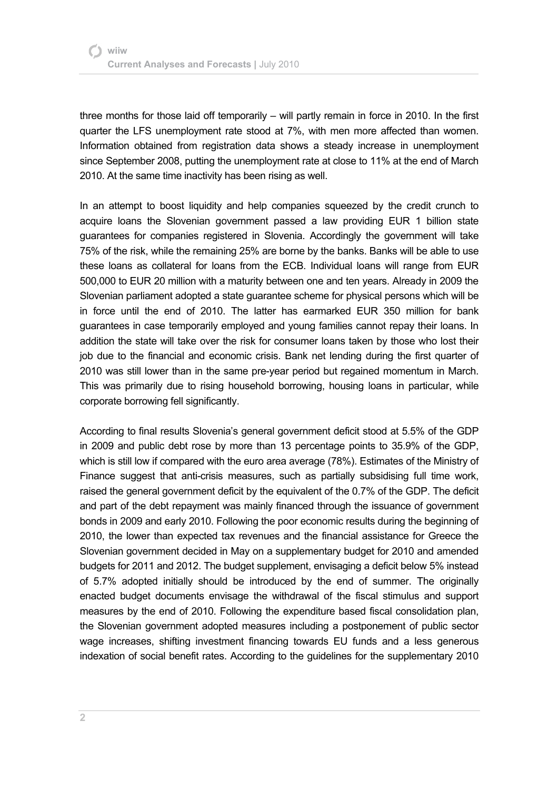three months for those laid off temporarily – will partly remain in force in 2010. In the first quarter the LFS unemployment rate stood at 7%, with men more affected than women. Information obtained from registration data shows a steady increase in unemployment since September 2008, putting the unemployment rate at close to 11% at the end of March 2010. At the same time inactivity has been rising as well.

In an attempt to boost liquidity and help companies squeezed by the credit crunch to acquire loans the Slovenian government passed a law providing EUR 1 billion state guarantees for companies registered in Slovenia. Accordingly the government will take 75% of the risk, while the remaining 25% are borne by the banks. Banks will be able to use these loans as collateral for loans from the ECB. Individual loans will range from EUR 500,000 to EUR 20 million with a maturity between one and ten years. Already in 2009 the Slovenian parliament adopted a state guarantee scheme for physical persons which will be in force until the end of 2010. The latter has earmarked EUR 350 million for bank guarantees in case temporarily employed and young families cannot repay their loans. In addition the state will take over the risk for consumer loans taken by those who lost their job due to the financial and economic crisis. Bank net lending during the first quarter of 2010 was still lower than in the same pre-year period but regained momentum in March. This was primarily due to rising household borrowing, housing loans in particular, while corporate borrowing fell significantly.

According to final results Slovenia's general government deficit stood at 5.5% of the GDP in 2009 and public debt rose by more than 13 percentage points to 35.9% of the GDP, which is still low if compared with the euro area average (78%). Estimates of the Ministry of Finance suggest that anti-crisis measures, such as partially subsidising full time work, raised the general government deficit by the equivalent of the 0.7% of the GDP. The deficit and part of the debt repayment was mainly financed through the issuance of government bonds in 2009 and early 2010. Following the poor economic results during the beginning of 2010, the lower than expected tax revenues and the financial assistance for Greece the Slovenian government decided in May on a supplementary budget for 2010 and amended budgets for 2011 and 2012. The budget supplement, envisaging a deficit below 5% instead of 5.7% adopted initially should be introduced by the end of summer. The originally enacted budget documents envisage the withdrawal of the fiscal stimulus and support measures by the end of 2010. Following the expenditure based fiscal consolidation plan, the Slovenian government adopted measures including a postponement of public sector wage increases, shifting investment financing towards EU funds and a less generous indexation of social benefit rates. According to the guidelines for the supplementary 2010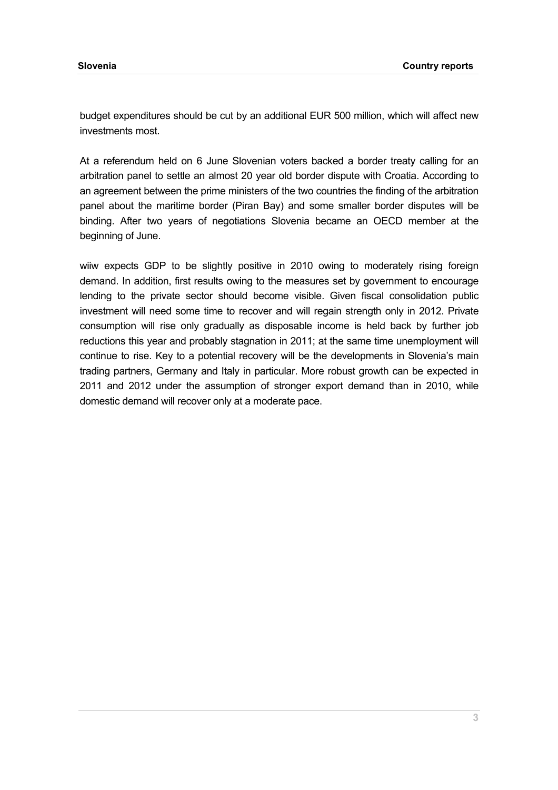budget expenditures should be cut by an additional EUR 500 million, which will affect new investments most.

At a referendum held on 6 June Slovenian voters backed a border treaty calling for an arbitration panel to settle an almost 20 year old border dispute with Croatia. According to an agreement between the prime ministers of the two countries the finding of the arbitration panel about the maritime border (Piran Bay) and some smaller border disputes will be binding. After two years of negotiations Slovenia became an OECD member at the beginning of June.

wiiw expects GDP to be slightly positive in 2010 owing to moderately rising foreign demand. In addition, first results owing to the measures set by government to encourage lending to the private sector should become visible. Given fiscal consolidation public investment will need some time to recover and will regain strength only in 2012. Private consumption will rise only gradually as disposable income is held back by further job reductions this year and probably stagnation in 2011; at the same time unemployment will continue to rise. Key to a potential recovery will be the developments in Slovenia's main trading partners, Germany and Italy in particular. More robust growth can be expected in 2011 and 2012 under the assumption of stronger export demand than in 2010, while domestic demand will recover only at a moderate pace.